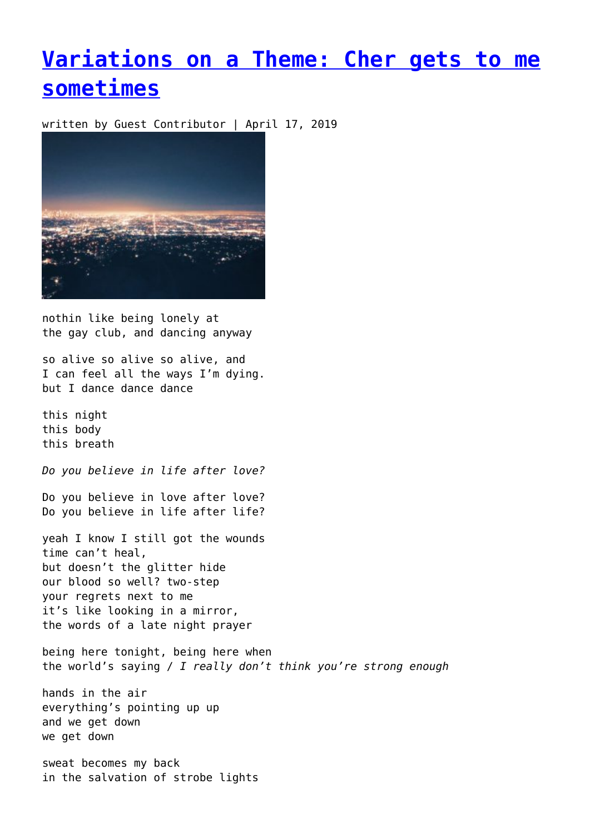## **[Variations on a Theme: Cher gets to me](https://entropymag.org/variations-on-a-theme-cher-gets-to-me-sometimes/) [sometimes](https://entropymag.org/variations-on-a-theme-cher-gets-to-me-sometimes/)**

written by Guest Contributor | April 17, 2019



nothin like being lonely at the gay club, and dancing anyway

so alive so alive so alive, and I can feel all the ways I'm dying. but I dance dance dance

this night this body this breath

*Do you believe in life after love?*

Do you believe in love after love? Do you believe in life after life?

yeah I know I still got the wounds time can't heal, but doesn't the glitter hide our blood so well? two-step your regrets next to me it's like looking in a mirror, the words of a late night prayer

being here tonight, being here when the world's saying / *I really don't think you're strong enough*

hands in the air everything's pointing up up and we get down we get down

sweat becomes my back in the salvation of strobe lights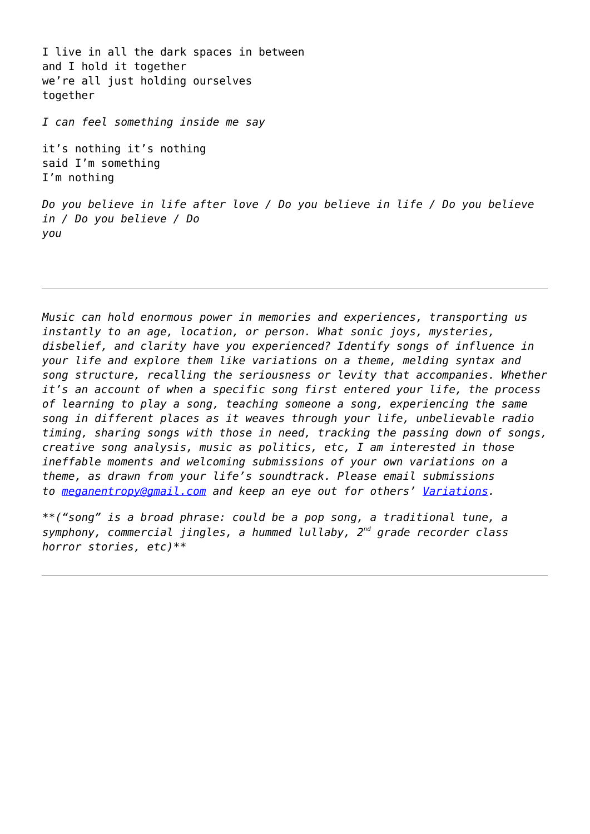I live in all the dark spaces in between and I hold it together we're all just holding ourselves together

*I can feel something inside me say*

it's nothing it's nothing said I'm something I'm nothing

*Do you believe in life after love / Do you believe in life / Do you believe in / Do you believe / Do you*

*Music can hold enormous power in memories and experiences, transporting us instantly to an age, location, or person. What sonic joys, mysteries, disbelief, and clarity have you experienced? Identify songs of influence in your life and explore them like variations on a theme, melding syntax and song structure, recalling the seriousness or levity that accompanies. Whether it's an account of when a specific song first entered your life, the process of learning to play a song, teaching someone a song, experiencing the same song in different places as it weaves through your life, unbelievable radio timing, sharing songs with those in need, tracking the passing down of songs, creative song analysis, music as politics, etc, I am interested in those ineffable moments and welcoming submissions of your own variations on a theme, as drawn from your life's soundtrack. Please email submissions to [meganentropy@gmail.com](mailto:meganentropy@gmail.com) and keep an eye out for others' [Variations.](https://entropymag.org/tag/variations-on-a-theme/)*

*\*\*("song" is a broad phrase: could be a pop song, a traditional tune, a symphony, commercial jingles, a hummed lullaby, 2nd grade recorder class horror stories, etc)\*\**